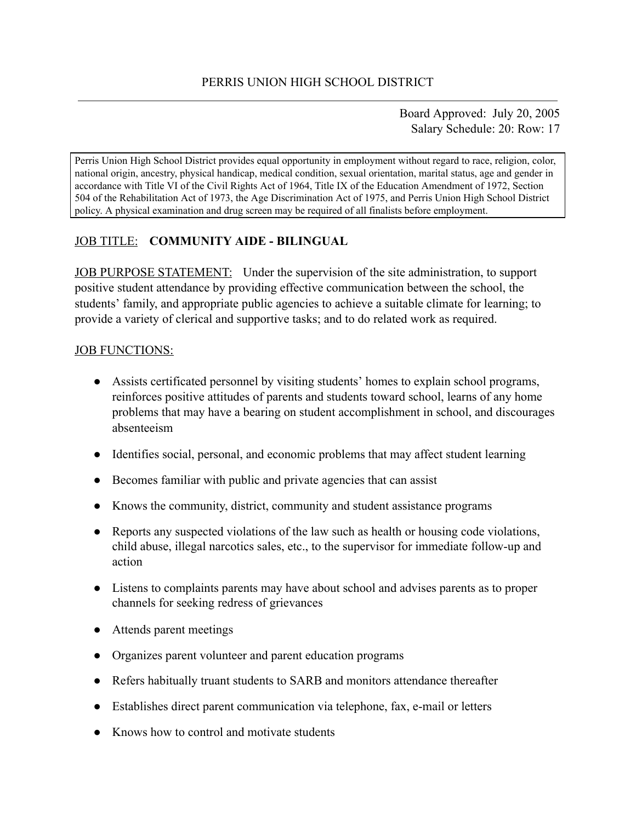Board Approved: July 20, 2005 Salary Schedule: 20: Row: 17

Perris Union High School District provides equal opportunity in employment without regard to race, religion, color, national origin, ancestry, physical handicap, medical condition, sexual orientation, marital status, age and gender in accordance with Title VI of the Civil Rights Act of 1964, Title IX of the Education Amendment of 1972, Section 504 of the Rehabilitation Act of 1973, the Age Discrimination Act of 1975, and Perris Union High School District policy. A physical examination and drug screen may be required of all finalists before employment.

# JOB TITLE: **COMMUNITY AIDE - BILINGUAL**

JOB PURPOSE STATEMENT: Under the supervision of the site administration, to support positive student attendance by providing effective communication between the school, the students' family, and appropriate public agencies to achieve a suitable climate for learning; to provide a variety of clerical and supportive tasks; and to do related work as required.

#### JOB FUNCTIONS:

- Assists certificated personnel by visiting students' homes to explain school programs, reinforces positive attitudes of parents and students toward school, learns of any home problems that may have a bearing on student accomplishment in school, and discourages absenteeism
- Identifies social, personal, and economic problems that may affect student learning
- Becomes familiar with public and private agencies that can assist
- Knows the community, district, community and student assistance programs
- Reports any suspected violations of the law such as health or housing code violations, child abuse, illegal narcotics sales, etc., to the supervisor for immediate follow-up and action
- Listens to complaints parents may have about school and advises parents as to proper channels for seeking redress of grievances
- Attends parent meetings
- Organizes parent volunteer and parent education programs
- Refers habitually truant students to SARB and monitors attendance thereafter
- Establishes direct parent communication via telephone, fax, e-mail or letters
- Knows how to control and motivate students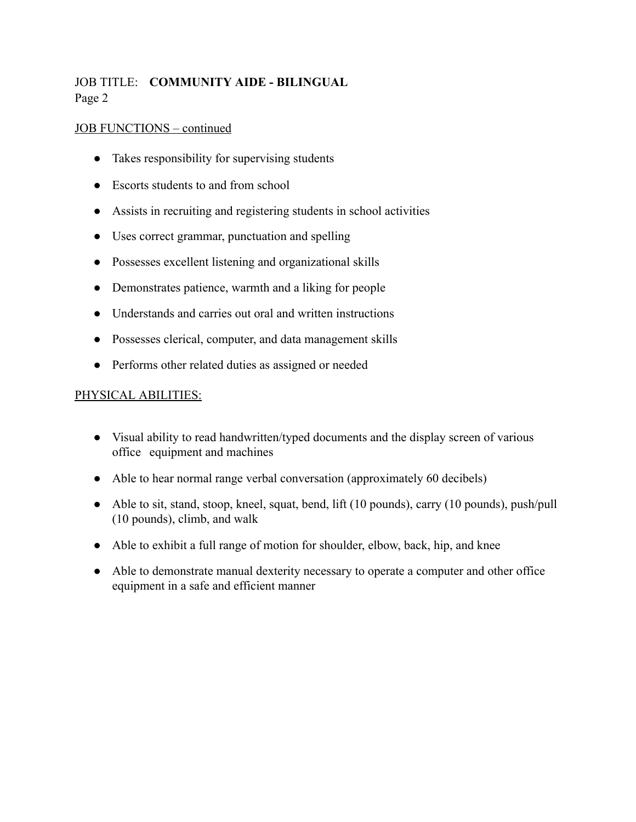# JOB TITLE: **COMMUNITY AIDE - BILINGUAL** Page 2

### JOB FUNCTIONS – continued

- Takes responsibility for supervising students
- Escorts students to and from school
- Assists in recruiting and registering students in school activities
- Uses correct grammar, punctuation and spelling
- Possesses excellent listening and organizational skills
- Demonstrates patience, warmth and a liking for people
- Understands and carries out oral and written instructions
- Possesses clerical, computer, and data management skills
- Performs other related duties as assigned or needed

#### PHYSICAL ABILITIES:

- Visual ability to read handwritten/typed documents and the display screen of various office equipment and machines
- Able to hear normal range verbal conversation (approximately 60 decibels)
- Able to sit, stand, stoop, kneel, squat, bend, lift (10 pounds), carry (10 pounds), push/pull (10 pounds), climb, and walk
- Able to exhibit a full range of motion for shoulder, elbow, back, hip, and knee
- Able to demonstrate manual dexterity necessary to operate a computer and other office equipment in a safe and efficient manner